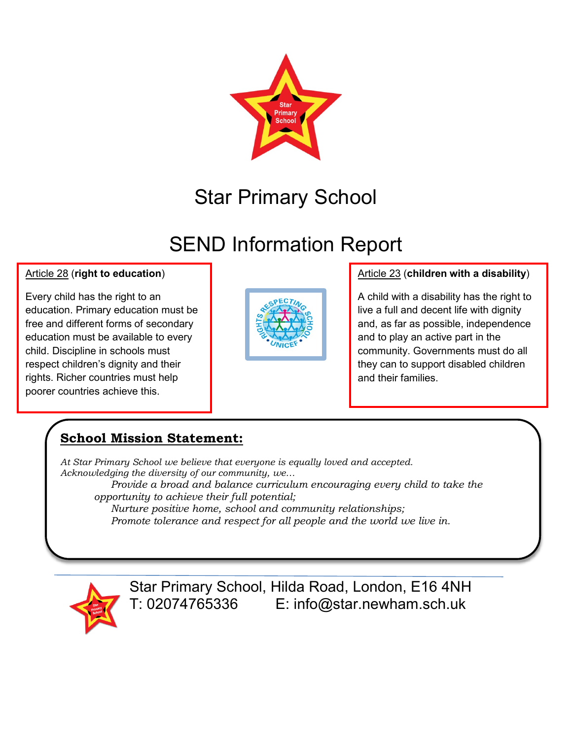

# Star Primary School

# SEND Information Report

#### Article 28 (**right to education**)

Every child has the right to an education. Primary education must be free and different forms of secondary education must be available to every child. Discipline in schools must respect children's dignity and their rights. Richer countries must help poorer countries achieve this.



#### Article 23 (**children with a disability**)

A child with a disability has the right to live a full and decent life with dignity and, as far as possible, independence and to play an active part in the community. Governments must do all they can to support disabled children and their families.

#### **School Mission Statement:**

*At Star Primary School we believe that everyone is equally loved and accepted. Acknowledging the diversity of our community, we… Provide a broad and balance curriculum encouraging every child to take the opportunity to achieve their full potential; Nurture positive home, school and community relationships;*

*Promote tolerance and respect for all people and the world we live in.*



Star Primary School, Hilda Road, London, E16 4NH T: 02074765336 E: info@star.newham.sch.uk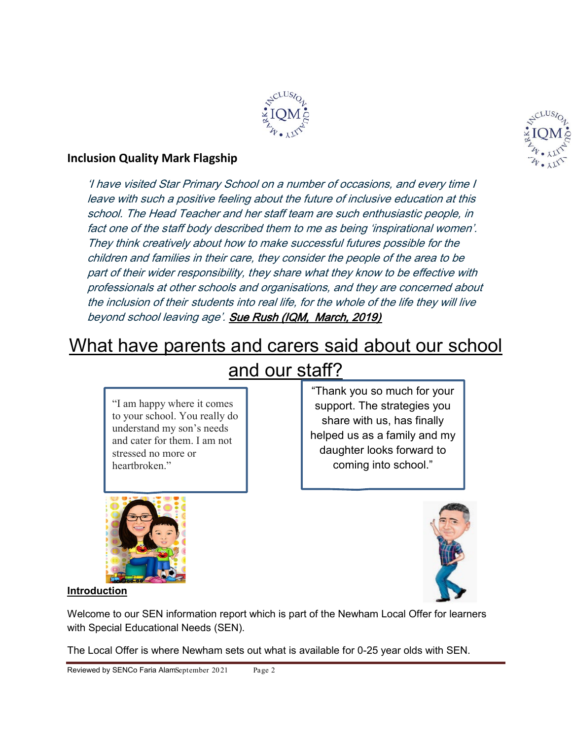

#### **Inclusion Quality Mark Flagship**

'I have visited Star Primary School on a number of occasions, and every time I leave with such a positive feeling about the future of inclusive education at this school. The Head Teacher and her staff team are such enthusiastic people, in fact one of the staff body described them to me as being 'inspirational women'. They think creatively about how to make successful futures possible for the children and families in their care, they consider the people of the area to be part of their wider responsibility, they share what they know to be effective with professionals at other schools and organisations, and they are concerned about the inclusion of their students into real life, for the whole of the life they will live beyond school leaving age'. Sue Rush (IQM, March, 2019)

### What have parents and carers said about our school

"I am happy where it comes to your school. You really do understand my son's needs and cater for them. I am not stressed no more or heartbroken."



# and our staff?

"Thank you so much for your support. The strategies you share with us, has finally helped us as a family and my daughter looks forward to coming into school."



#### **Introduction**

Welcome to our SEN information report which is part of the Newham Local Offer for learners with Special Educational Needs (SEN).

The Local Offer is where Newham sets out what is available for 0-25 year olds with SEN.

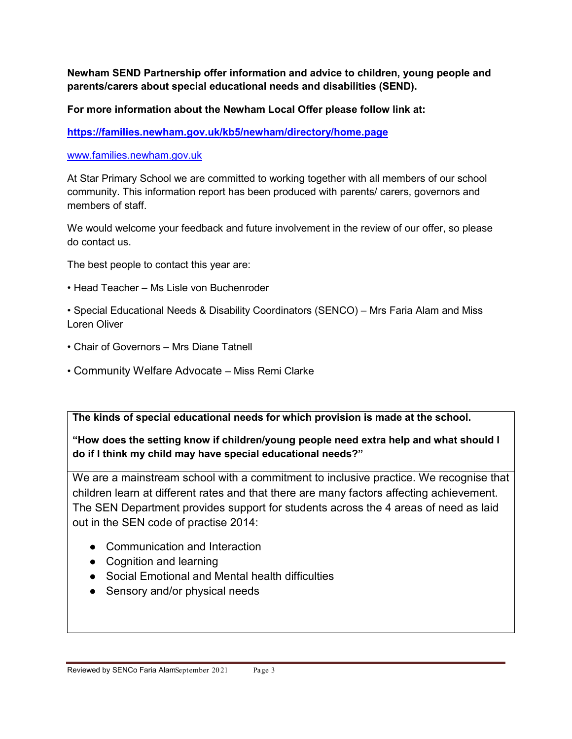**Newham SEND Partnership offer information and advice to children, young people and parents/carers about special educational needs and disabilities (SEND).** 

**For more information about the Newham Local Offer please follow link at:**

**<https://families.newham.gov.uk/kb5/newham/directory/home.page>**

#### [www.families.newham.gov.uk](http://www.families.newham.gov.uk/)

At Star Primary School we are committed to working together with all members of our school community. This information report has been produced with parents/ carers, governors and members of staff.

We would welcome your feedback and future involvement in the review of our offer, so please do contact us.

The best people to contact this year are:

- Head Teacher Ms Lisle von Buchenroder
- Special Educational Needs & Disability Coordinators (SENCO) Mrs Faria Alam and Miss Loren Oliver
- Chair of Governors Mrs Diane Tatnell
- Community Welfare Advocate Miss Remi Clarke

**The kinds of special educational needs for which provision is made at the school.** 

**"How does the setting know if children/young people need extra help and what should I do if I think my child may have special educational needs?"** 

We are a mainstream school with a commitment to inclusive practice. We recognise that children learn at different rates and that there are many factors affecting achievement. The SEN Department provides support for students across the 4 areas of need as laid out in the SEN code of practise 2014:

- Communication and Interaction
- Cognition and learning
- Social Emotional and Mental health difficulties
- Sensory and/or physical needs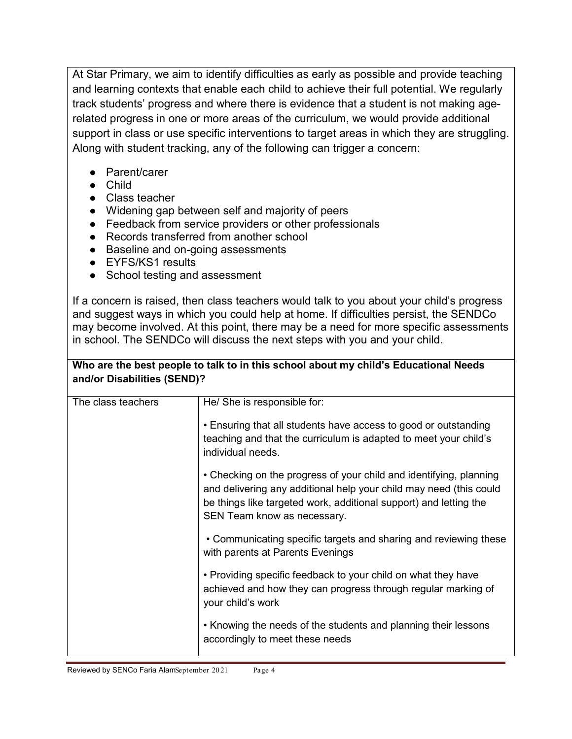At Star Primary, we aim to identify difficulties as early as possible and provide teaching and learning contexts that enable each child to achieve their full potential. We regularly track students' progress and where there is evidence that a student is not making agerelated progress in one or more areas of the curriculum, we would provide additional support in class or use specific interventions to target areas in which they are struggling. Along with student tracking, any of the following can trigger a concern:

- Parent/carer
- Child
- Class teacher
- Widening gap between self and majority of peers
- Feedback from service providers or other professionals
- Records transferred from another school
- Baseline and on-going assessments
- EYFS/KS1 results
- School testing and assessment

If a concern is raised, then class teachers would talk to you about your child's progress and suggest ways in which you could help at home. If difficulties persist, the SENDCo may become involved. At this point, there may be a need for more specific assessments in school. The SENDCo will discuss the next steps with you and your child.

**Who are the best people to talk to in this school about my child's Educational Needs** 

| and/or Disabilities (SEND)? |                                                                                                                                                                                                                                              |  |  |
|-----------------------------|----------------------------------------------------------------------------------------------------------------------------------------------------------------------------------------------------------------------------------------------|--|--|
| The class teachers          | He/ She is responsible for:                                                                                                                                                                                                                  |  |  |
|                             | • Ensuring that all students have access to good or outstanding<br>teaching and that the curriculum is adapted to meet your child's<br>individual needs.                                                                                     |  |  |
|                             | • Checking on the progress of your child and identifying, planning<br>and delivering any additional help your child may need (this could<br>be things like targeted work, additional support) and letting the<br>SEN Team know as necessary. |  |  |
|                             | • Communicating specific targets and sharing and reviewing these<br>with parents at Parents Evenings                                                                                                                                         |  |  |
|                             | • Providing specific feedback to your child on what they have<br>achieved and how they can progress through regular marking of<br>your child's work                                                                                          |  |  |
|                             | • Knowing the needs of the students and planning their lessons<br>accordingly to meet these needs                                                                                                                                            |  |  |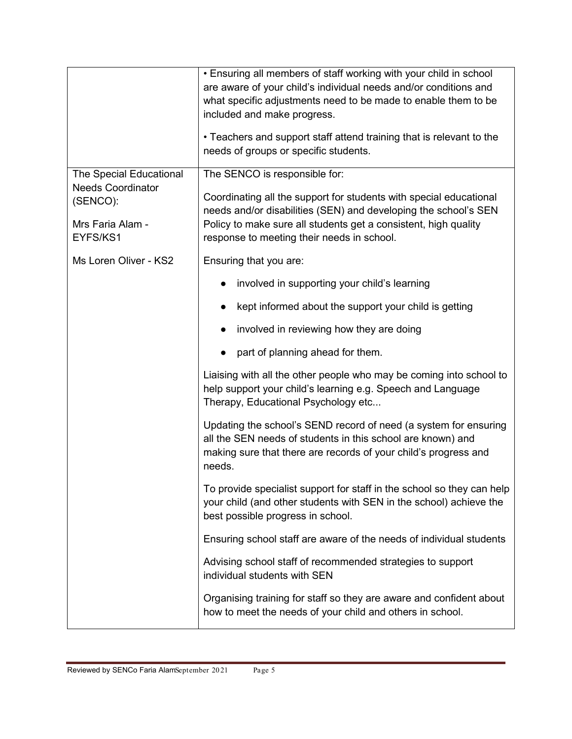|                                      | • Ensuring all members of staff working with your child in school<br>are aware of your child's individual needs and/or conditions and<br>what specific adjustments need to be made to enable them to be<br>included and make progress.<br>• Teachers and support staff attend training that is relevant to the<br>needs of groups or specific students. |
|--------------------------------------|---------------------------------------------------------------------------------------------------------------------------------------------------------------------------------------------------------------------------------------------------------------------------------------------------------------------------------------------------------|
| The Special Educational              | The SENCO is responsible for:                                                                                                                                                                                                                                                                                                                           |
| <b>Needs Coordinator</b><br>(SENCO): | Coordinating all the support for students with special educational                                                                                                                                                                                                                                                                                      |
| Mrs Faria Alam -<br>EYFS/KS1         | needs and/or disabilities (SEN) and developing the school's SEN<br>Policy to make sure all students get a consistent, high quality<br>response to meeting their needs in school.                                                                                                                                                                        |
| Ms Loren Oliver - KS2                | Ensuring that you are:                                                                                                                                                                                                                                                                                                                                  |
|                                      | involved in supporting your child's learning                                                                                                                                                                                                                                                                                                            |
|                                      | kept informed about the support your child is getting                                                                                                                                                                                                                                                                                                   |
|                                      | involved in reviewing how they are doing                                                                                                                                                                                                                                                                                                                |
|                                      | part of planning ahead for them.                                                                                                                                                                                                                                                                                                                        |
|                                      | Liaising with all the other people who may be coming into school to<br>help support your child's learning e.g. Speech and Language<br>Therapy, Educational Psychology etc                                                                                                                                                                               |
|                                      | Updating the school's SEND record of need (a system for ensuring<br>all the SEN needs of students in this school are known) and<br>making sure that there are records of your child's progress and<br>needs.                                                                                                                                            |
|                                      | To provide specialist support for staff in the school so they can help<br>your child (and other students with SEN in the school) achieve the<br>best possible progress in school.                                                                                                                                                                       |
|                                      | Ensuring school staff are aware of the needs of individual students                                                                                                                                                                                                                                                                                     |
|                                      | Advising school staff of recommended strategies to support<br>individual students with SEN                                                                                                                                                                                                                                                              |
|                                      | Organising training for staff so they are aware and confident about<br>how to meet the needs of your child and others in school.                                                                                                                                                                                                                        |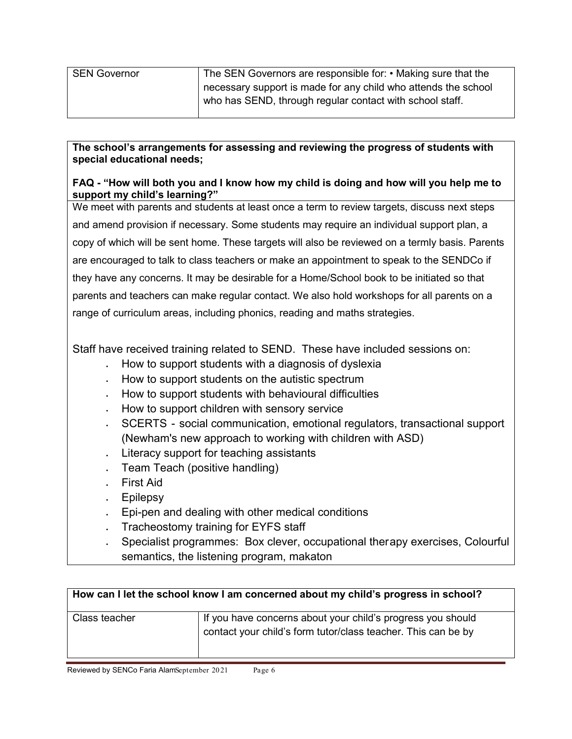| The SEN Governors are responsible for: • Making sure that the  |
|----------------------------------------------------------------|
| necessary support is made for any child who attends the school |
| who has SEND, through regular contact with school staff.       |
|                                                                |

#### **The school's arrangements for assessing and reviewing the progress of students with special educational needs;**

#### **FAQ - "How will both you and I know how my child is doing and how will you help me to support my child's learning?"**

We meet with parents and students at least once a term to review targets, discuss next steps and amend provision if necessary. Some students may require an individual support plan, a copy of which will be sent home. These targets will also be reviewed on a termly basis. Parents are encouraged to talk to class teachers or make an appointment to speak to the SENDCo if they have any concerns. It may be desirable for a Home/School book to be initiated so that parents and teachers can make regular contact. We also hold workshops for all parents on a range of curriculum areas, including phonics, reading and maths strategies.

Staff have received training related to SEND. These have included sessions on:

- How to support students with a diagnosis of dyslexia
- How to support students on the autistic spectrum
- How to support students with behavioural difficulties
- How to support children with sensory service
- SCERTS social communication, emotional regulators, transactional support (Newham's new approach to working with children with ASD)
- Literacy support for teaching assistants
- Team Teach (positive handling)
- First Aid
- Epilepsy
- Epi-pen and dealing with other medical conditions
- Tracheostomy training for EYFS staff
- Specialist programmes: Box clever, occupational therapy exercises, Colourful semantics, the listening program, makaton

| How can I let the school know I am concerned about my child's progress in school? |                                                                                                                              |  |
|-----------------------------------------------------------------------------------|------------------------------------------------------------------------------------------------------------------------------|--|
| Class teacher                                                                     | If you have concerns about your child's progress you should<br>contact your child's form tutor/class teacher. This can be by |  |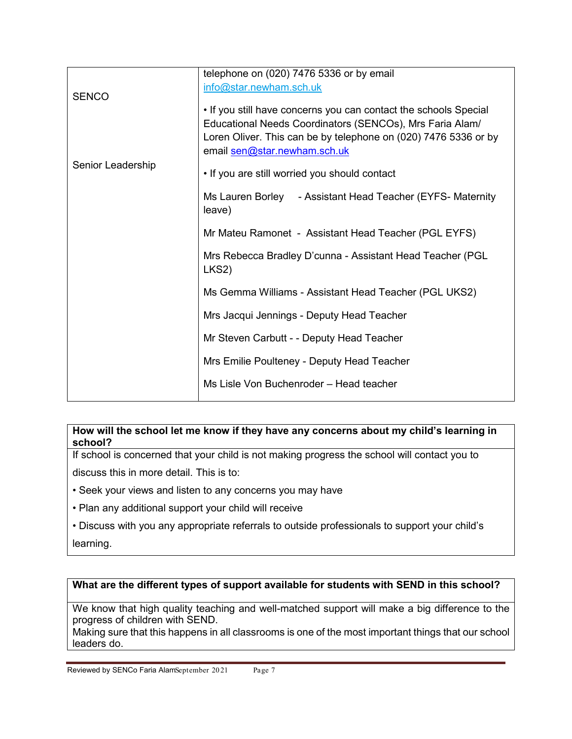|                                   | telephone on (020) 7476 5336 or by email                                                                                                                                                                                        |
|-----------------------------------|---------------------------------------------------------------------------------------------------------------------------------------------------------------------------------------------------------------------------------|
|                                   | info@star.newham.sch.uk                                                                                                                                                                                                         |
| <b>SENCO</b><br>Senior Leadership | . If you still have concerns you can contact the schools Special<br>Educational Needs Coordinators (SENCOs), Mrs Faria Alam/<br>Loren Oliver. This can be by telephone on (020) 7476 5336 or by<br>email sen@star.newham.sch.uk |
|                                   | . If you are still worried you should contact                                                                                                                                                                                   |
|                                   | Ms Lauren Borley - Assistant Head Teacher (EYFS- Maternity<br>leave)                                                                                                                                                            |
|                                   | Mr Mateu Ramonet - Assistant Head Teacher (PGL EYFS)                                                                                                                                                                            |
|                                   | Mrs Rebecca Bradley D'cunna - Assistant Head Teacher (PGL)<br>LKS <sub>2</sub> )                                                                                                                                                |
|                                   | Ms Gemma Williams - Assistant Head Teacher (PGL UKS2)                                                                                                                                                                           |
|                                   | Mrs Jacqui Jennings - Deputy Head Teacher                                                                                                                                                                                       |
|                                   | Mr Steven Carbutt - - Deputy Head Teacher                                                                                                                                                                                       |
|                                   | Mrs Emilie Poulteney - Deputy Head Teacher                                                                                                                                                                                      |
|                                   | Ms Lisle Von Buchenroder - Head teacher                                                                                                                                                                                         |

#### **How will the school let me know if they have any concerns about my child's learning in school?**

If school is concerned that your child is not making progress the school will contact you to discuss this in more detail. This is to:

- Seek your views and listen to any concerns you may have
- Plan any additional support your child will receive
- Discuss with you any appropriate referrals to outside professionals to support your child's

learning.

#### **What are the different types of support available for students with SEND in this school?**

We know that high quality teaching and well-matched support will make a big difference to the progress of children with SEND.

Making sure that this happens in all classrooms is one of the most important things that our school leaders do.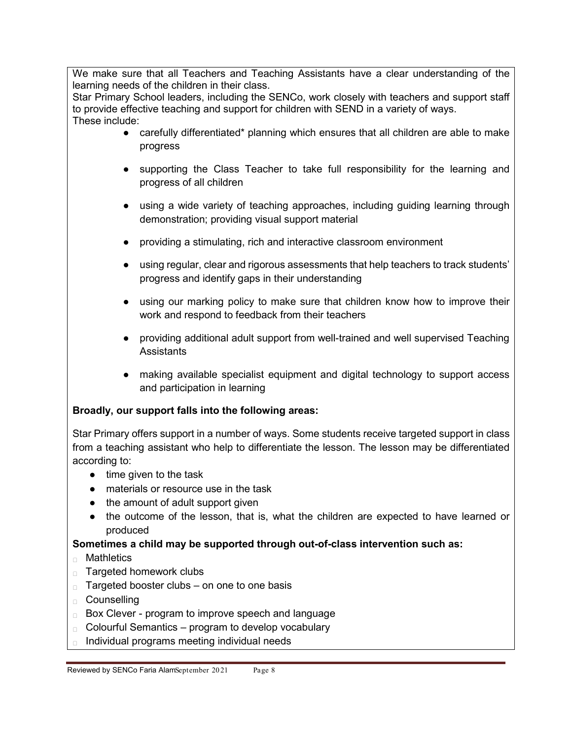We make sure that all Teachers and Teaching Assistants have a clear understanding of the learning needs of the children in their class.

Star Primary School leaders, including the SENCo, work closely with teachers and support staff to provide effective teaching and support for children with SEND in a variety of ways. These include:

- carefully differentiated\* planning which ensures that all children are able to make progress
- supporting the Class Teacher to take full responsibility for the learning and progress of all children
- using a wide variety of teaching approaches, including guiding learning through demonstration; providing visual support material
- providing a stimulating, rich and interactive classroom environment
- using regular, clear and rigorous assessments that help teachers to track students' progress and identify gaps in their understanding
- using our marking policy to make sure that children know how to improve their work and respond to feedback from their teachers
- providing additional adult support from well-trained and well supervised Teaching **Assistants**
- making available specialist equipment and digital technology to support access and participation in learning

#### **Broadly, our support falls into the following areas:**

Star Primary offers support in a number of ways. Some students receive targeted support in class from a teaching assistant who help to differentiate the lesson. The lesson may be differentiated according to:

- time given to the task
- materials or resource use in the task
- the amount of adult support given
- the outcome of the lesson, that is, what the children are expected to have learned or produced

#### **Sometimes a child may be supported through out-of-class intervention such as:**

- ⮚ Mathletics
- □ Targeted homework clubs
- $\Box$  Targeted booster clubs on one to one basis
- ⮚ Counselling
- □ Box Clever program to improve speech and language
- $\Box$  Colourful Semantics program to develop vocabulary
- ⮚ Individual programs meeting individual needs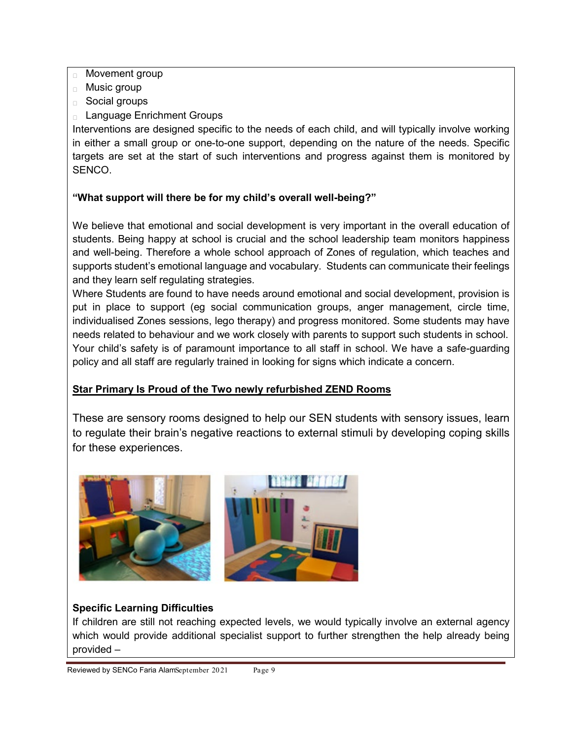- $\Box$  Movement group
- ⮚ Music group
- ⮚ Social groups
- ⮚ Language Enrichment Groups

Interventions are designed specific to the needs of each child, and will typically involve working in either a small group or one-to-one support, depending on the nature of the needs. Specific targets are set at the start of such interventions and progress against them is monitored by SENCO.

#### **"What support will there be for my child's overall well-being?"**

We believe that emotional and social development is very important in the overall education of students. Being happy at school is crucial and the school leadership team monitors happiness and well-being. Therefore a whole school approach of Zones of regulation, which teaches and supports student's emotional language and vocabulary. Students can communicate their feelings and they learn self regulating strategies.

Where Students are found to have needs around emotional and social development, provision is put in place to support (eg social communication groups, anger management, circle time, individualised Zones sessions, lego therapy) and progress monitored. Some students may have needs related to behaviour and we work closely with parents to support such students in school. Your child's safety is of paramount importance to all staff in school. We have a safe-guarding policy and all staff are regularly trained in looking for signs which indicate a concern.

#### **Star Primary Is Proud of the Two newly refurbished ZEND Rooms**

These are sensory rooms designed to help our SEN students with sensory issues, learn to regulate their brain's negative reactions to external stimuli by developing coping skills for these experiences.



#### **Specific Learning Difficulties**

If children are still not reaching expected levels, we would typically involve an external agency which would provide additional specialist support to further strengthen the help already being provided –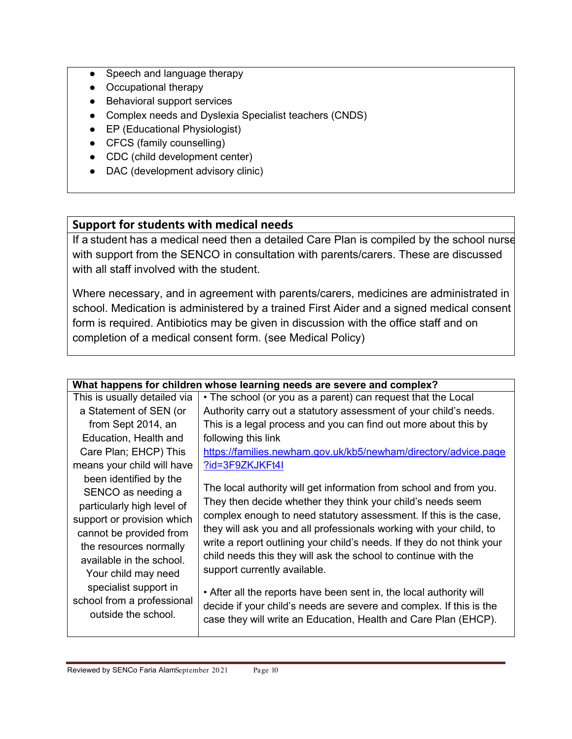- Speech and language therapy
- Occupational therapy
- Behavioral support services
- Complex needs and Dyslexia Specialist teachers (CNDS)
- EP (Educational Physiologist)
- CFCS (family counselling)
- CDC (child development center)
- DAC (development advisory clinic)

#### **Support for students with medical needs**

If a student has a medical need then a detailed Care Plan is compiled by the school nurse with support from the SENCO in consultation with parents/carers. These are discussed with all staff involved with the student.

Where necessary, and in agreement with parents/carers, medicines are administrated in school. Medication is administered by a trained First Aider and a signed medical consent form is required. Antibiotics may be given in discussion with the office staff and on completion of a medical consent form. (see Medical Policy)

| What happens for children whose learning needs are severe and complex?                                                                     |
|--------------------------------------------------------------------------------------------------------------------------------------------|
| • The school (or you as a parent) can request that the Local                                                                               |
| Authority carry out a statutory assessment of your child's needs.                                                                          |
| This is a legal process and you can find out more about this by                                                                            |
| following this link                                                                                                                        |
| https://families.newham.gov.uk/kb5/newham/directory/advice.page                                                                            |
| ?id=3F9ZKJKFt4I                                                                                                                            |
|                                                                                                                                            |
| The local authority will get information from school and from you.                                                                         |
| They then decide whether they think your child's needs seem                                                                                |
| complex enough to need statutory assessment. If this is the case,                                                                          |
| they will ask you and all professionals working with your child, to                                                                        |
| write a report outlining your child's needs. If they do not think your                                                                     |
| child needs this they will ask the school to continue with the                                                                             |
| support currently available.                                                                                                               |
|                                                                                                                                            |
| • After all the reports have been sent in, the local authority will<br>decide if your child's needs are severe and complex. If this is the |
| case they will write an Education, Health and Care Plan (EHCP).                                                                            |
|                                                                                                                                            |
|                                                                                                                                            |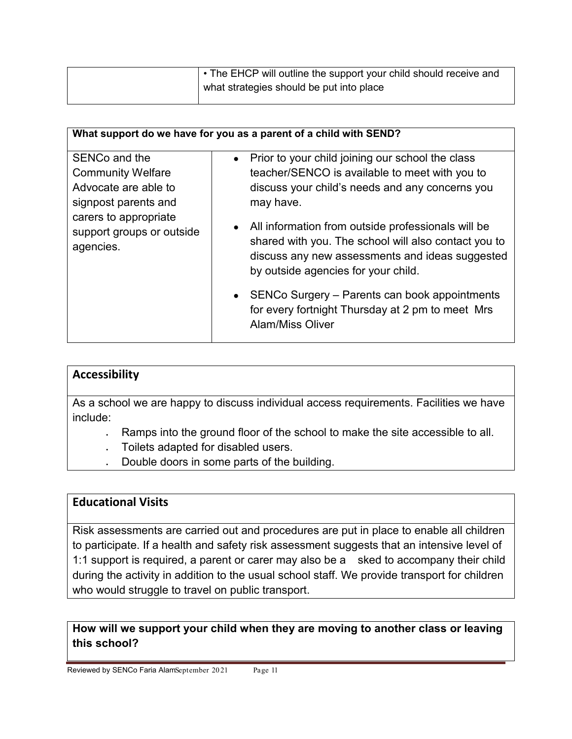| • The EHCP will outline the support your child should receive and |
|-------------------------------------------------------------------|
| what strategies should be put into place                          |
|                                                                   |

|                                                                                                                                                              | What support do we have for you as a parent of a child with SEND?                                                                                                                                                                                                                                                                                                                                                                                                                                          |
|--------------------------------------------------------------------------------------------------------------------------------------------------------------|------------------------------------------------------------------------------------------------------------------------------------------------------------------------------------------------------------------------------------------------------------------------------------------------------------------------------------------------------------------------------------------------------------------------------------------------------------------------------------------------------------|
| SENCo and the<br><b>Community Welfare</b><br>Advocate are able to<br>signpost parents and<br>carers to appropriate<br>support groups or outside<br>agencies. | Prior to your child joining our school the class<br>teacher/SENCO is available to meet with you to<br>discuss your child's needs and any concerns you<br>may have.<br>All information from outside professionals will be<br>shared with you. The school will also contact you to<br>discuss any new assessments and ideas suggested<br>by outside agencies for your child.<br>SENCo Surgery – Parents can book appointments<br>for every fortnight Thursday at 2 pm to meet Mrs<br><b>Alam/Miss Oliver</b> |

#### **Accessibility**

As a school we are happy to discuss individual access requirements. Facilities we have include:

- Ramps into the ground floor of the school to make the site accessible to all.
- Toilets adapted for disabled users.
- Double doors in some parts of the building.

#### **Educational Visits**

Risk assessments are carried out and procedures are put in place to enable all children to participate. If a health and safety risk assessment suggests that an intensive level of 1:1 support is required, a parent or carer may also be a sked to accompany their child during the activity in addition to the usual school staff. We provide transport for children who would struggle to travel on public transport.

**How will we support your child when they are moving to another class or leaving this school?**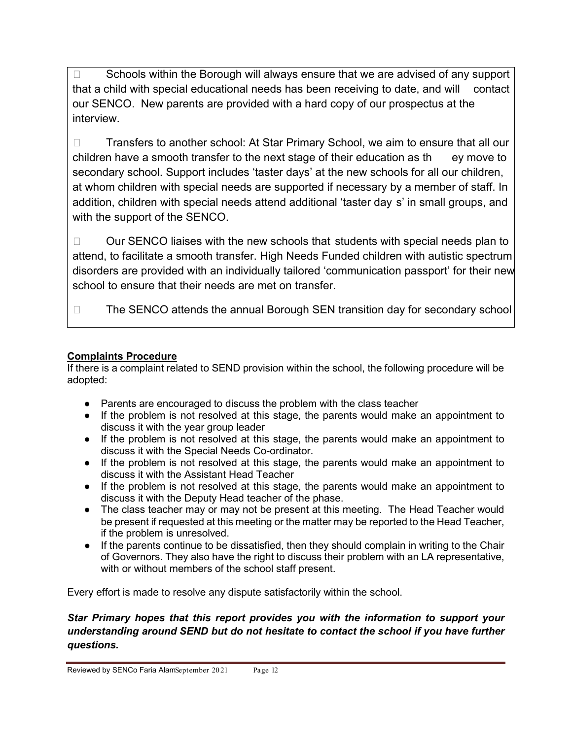□ Schools within the Borough will always ensure that we are advised of any support that a child with special educational needs has been receiving to date, and will contact our SENCO. New parents are provided with a hard copy of our prospectus at the interview.

□ Transfers to another school: At Star Primary School, we aim to ensure that all our children have a smooth transfer to the next stage of their education as th ey move to secondary school. Support includes 'taster days' at the new schools for all our children, at whom children with special needs are supported if necessary by a member of staff. In addition, children with special needs attend additional 'taster day s' in small groups, and with the support of the SENCO.

 $\Box$  Our SENCO liaises with the new schools that students with special needs plan to attend, to facilitate a smooth transfer. High Needs Funded children with autistic spectrum disorders are provided with an individually tailored 'communication passport' for their new school to ensure that their needs are met on transfer.

 $\square$  The SENCO attends the annual Borough SEN transition day for secondary school

#### **Complaints Procedure**

If there is a complaint related to SEND provision within the school, the following procedure will be adopted:

- Parents are encouraged to discuss the problem with the class teacher
- If the problem is not resolved at this stage, the parents would make an appointment to discuss it with the year group leader
- If the problem is not resolved at this stage, the parents would make an appointment to discuss it with the Special Needs Co-ordinator.
- If the problem is not resolved at this stage, the parents would make an appointment to discuss it with the Assistant Head Teacher
- If the problem is not resolved at this stage, the parents would make an appointment to discuss it with the Deputy Head teacher of the phase.
- The class teacher may or may not be present at this meeting. The Head Teacher would be present if requested at this meeting or the matter may be reported to the Head Teacher, if the problem is unresolved.
- If the parents continue to be dissatisfied, then they should complain in writing to the Chair of Governors. They also have the right to discuss their problem with an LA representative, with or without members of the school staff present.

Every effort is made to resolve any dispute satisfactorily within the school.

#### *Star Primary hopes that this report provides you with the information to support your understanding around SEND but do not hesitate to contact the school if you have further questions.*